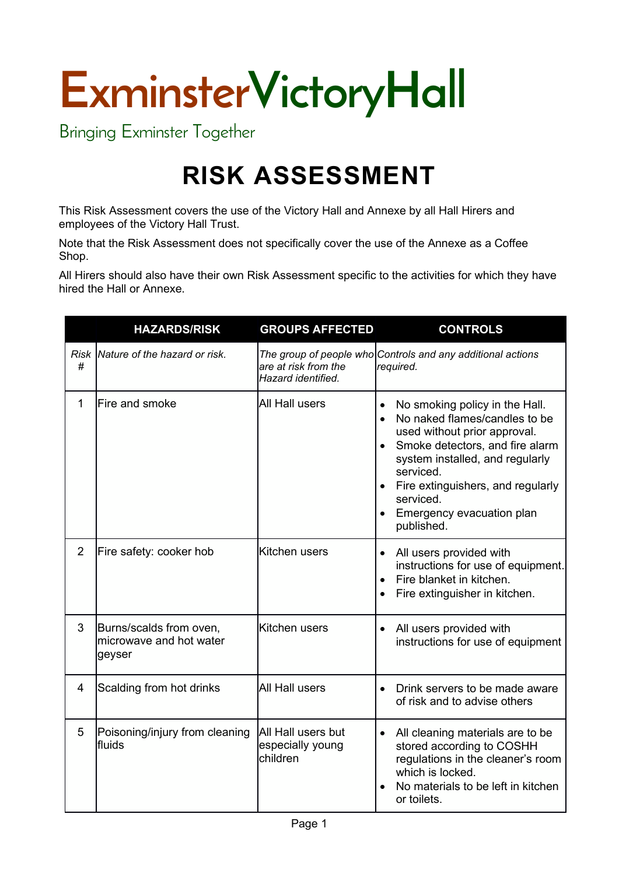## **ExminsterVictoryHall**

Bringing Exminster Together

## **RISK ASSESSMENT**

This Risk Assessment covers the use of the Victory Hall and Annexe by all Hall Hirers and employees of the Victory Hall Trust.

Note that the Risk Assessment does not specifically cover the use of the Annexe as a Coffee Shop.

All Hirers should also have their own Risk Assessment specific to the activities for which they have hired the Hall or Annexe.

|                | <b>HAZARDS/RISK</b>                                          | <b>GROUPS AFFECTED</b>                             | <b>CONTROLS</b>                                                                                                                                                                                                                                                                                                                     |
|----------------|--------------------------------------------------------------|----------------------------------------------------|-------------------------------------------------------------------------------------------------------------------------------------------------------------------------------------------------------------------------------------------------------------------------------------------------------------------------------------|
| #              | Risk Nature of the hazard or risk.                           | are at risk from the<br>Hazard identified.         | The group of people who Controls and any additional actions<br>required.                                                                                                                                                                                                                                                            |
| 1              | Fire and smoke                                               | All Hall users                                     | No smoking policy in the Hall.<br>$\bullet$<br>No naked flames/candles to be<br>used without prior approval.<br>Smoke detectors, and fire alarm<br>$\bullet$<br>system installed, and regularly<br>serviced.<br>Fire extinguishers, and regularly<br>$\bullet$<br>serviced.<br>Emergency evacuation plan<br>$\bullet$<br>published. |
| $\overline{2}$ | Fire safety: cooker hob                                      | Kitchen users                                      | All users provided with<br>$\bullet$<br>instructions for use of equipment.<br>Fire blanket in kitchen.<br>$\bullet$<br>Fire extinguisher in kitchen.<br>$\bullet$                                                                                                                                                                   |
| 3              | Burns/scalds from oven,<br>microwave and hot water<br>geyser | Kitchen users                                      | All users provided with<br>$\bullet$<br>instructions for use of equipment                                                                                                                                                                                                                                                           |
| 4              | Scalding from hot drinks                                     | <b>All Hall users</b>                              | Drink servers to be made aware<br>$\bullet$<br>of risk and to advise others                                                                                                                                                                                                                                                         |
| 5              | Poisoning/injury from cleaning<br>fluids                     | All Hall users but<br>especially young<br>children | All cleaning materials are to be<br>$\bullet$<br>stored according to COSHH<br>regulations in the cleaner's room<br>which is locked.<br>No materials to be left in kitchen<br>$\bullet$<br>or toilets.                                                                                                                               |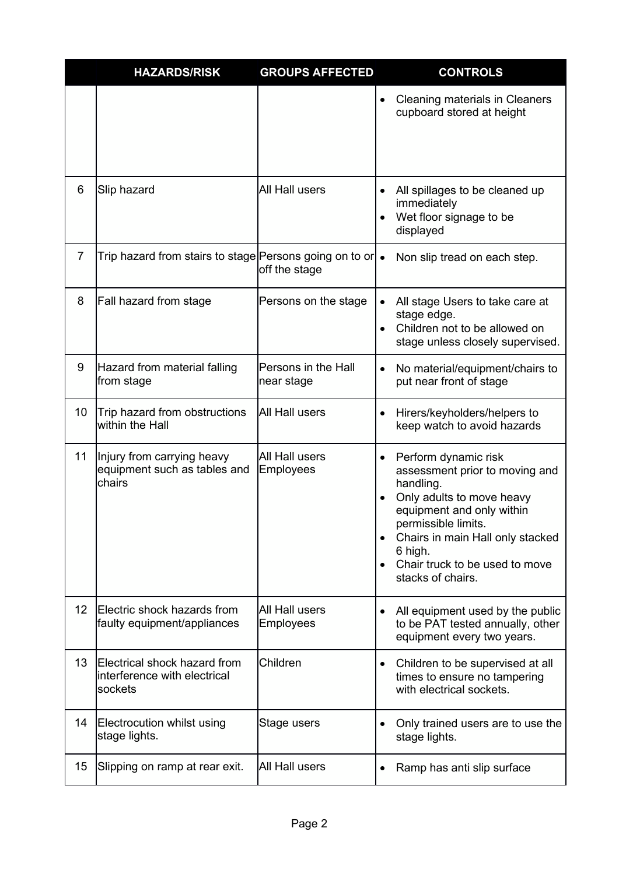|                 | <b>HAZARDS/RISK</b>                                                     | <b>GROUPS AFFECTED</b>            | <b>CONTROLS</b>                                                                                                                                                                                                                                                                                                |
|-----------------|-------------------------------------------------------------------------|-----------------------------------|----------------------------------------------------------------------------------------------------------------------------------------------------------------------------------------------------------------------------------------------------------------------------------------------------------------|
|                 |                                                                         |                                   | Cleaning materials in Cleaners<br>$\bullet$<br>cupboard stored at height                                                                                                                                                                                                                                       |
| 6               | Slip hazard                                                             | <b>All Hall users</b>             | All spillages to be cleaned up<br>immediately<br>Wet floor signage to be<br>$\bullet$<br>displayed                                                                                                                                                                                                             |
| $\overline{7}$  |                                                                         | off the stage                     | Non slip tread on each step.                                                                                                                                                                                                                                                                                   |
| 8               | Fall hazard from stage                                                  | Persons on the stage              | All stage Users to take care at<br>stage edge.<br>Children not to be allowed on<br>$\bullet$<br>stage unless closely supervised.                                                                                                                                                                               |
| 9               | Hazard from material falling<br>from stage                              | Persons in the Hall<br>near stage | No material/equipment/chairs to<br>$\bullet$<br>put near front of stage                                                                                                                                                                                                                                        |
| 10 <sup>°</sup> | Trip hazard from obstructions<br>within the Hall                        | All Hall users                    | Hirers/keyholders/helpers to<br>keep watch to avoid hazards                                                                                                                                                                                                                                                    |
| 11              | Injury from carrying heavy<br>equipment such as tables and<br>chairs    | All Hall users<br>Employees       | Perform dynamic risk<br>$\bullet$<br>assessment prior to moving and<br>handling.<br>Only adults to move heavy<br>$\bullet$<br>equipment and only within<br>permissible limits.<br>Chairs in main Hall only stacked<br>$\bullet$<br>6 high.<br>Chair truck to be used to move<br>$\bullet$<br>stacks of chairs. |
| 12 <sup>2</sup> | Electric shock hazards from<br>faulty equipment/appliances              | All Hall users<br>Employees       | All equipment used by the public<br>to be PAT tested annually, other<br>equipment every two years.                                                                                                                                                                                                             |
| 13 <sup>°</sup> | Electrical shock hazard from<br>interference with electrical<br>sockets | Children                          | Children to be supervised at all<br>$\bullet$<br>times to ensure no tampering<br>with electrical sockets.                                                                                                                                                                                                      |
| 14              | Electrocution whilst using<br>stage lights.                             | Stage users                       | Only trained users are to use the<br>stage lights.                                                                                                                                                                                                                                                             |
| 15              | Slipping on ramp at rear exit.                                          | All Hall users                    | Ramp has anti slip surface                                                                                                                                                                                                                                                                                     |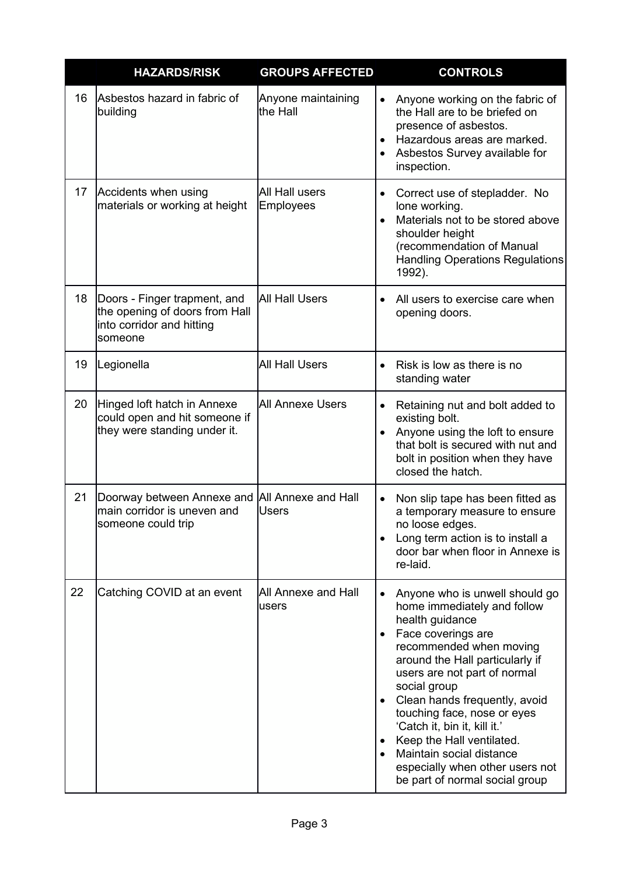|    | <b>HAZARDS/RISK</b>                                                                                    | <b>GROUPS AFFECTED</b>         | <b>CONTROLS</b>                                                                                                                                                                                                                                                                                                                                                                                                                                                 |
|----|--------------------------------------------------------------------------------------------------------|--------------------------------|-----------------------------------------------------------------------------------------------------------------------------------------------------------------------------------------------------------------------------------------------------------------------------------------------------------------------------------------------------------------------------------------------------------------------------------------------------------------|
| 16 | Asbestos hazard in fabric of<br>building                                                               | Anyone maintaining<br>the Hall | Anyone working on the fabric of<br>$\bullet$<br>the Hall are to be briefed on<br>presence of asbestos.<br>Hazardous areas are marked.<br>Asbestos Survey available for<br>inspection.                                                                                                                                                                                                                                                                           |
| 17 | Accidents when using<br>materials or working at height                                                 | All Hall users<br>Employees    | Correct use of stepladder. No<br>$\bullet$<br>lone working.<br>Materials not to be stored above<br>$\bullet$<br>shoulder height<br>(recommendation of Manual<br><b>Handling Operations Regulations</b><br>1992).                                                                                                                                                                                                                                                |
| 18 | Doors - Finger trapment, and<br>the opening of doors from Hall<br>into corridor and hitting<br>someone | <b>All Hall Users</b>          | All users to exercise care when<br>$\bullet$<br>opening doors.                                                                                                                                                                                                                                                                                                                                                                                                  |
| 19 | Legionella                                                                                             | <b>All Hall Users</b>          | Risk is low as there is no<br>standing water                                                                                                                                                                                                                                                                                                                                                                                                                    |
| 20 | Hinged loft hatch in Annexe<br>could open and hit someone if<br>they were standing under it.           | <b>All Annexe Users</b>        | Retaining nut and bolt added to<br>$\bullet$<br>existing bolt.<br>Anyone using the loft to ensure<br>$\bullet$<br>that bolt is secured with nut and<br>bolt in position when they have<br>closed the hatch.                                                                                                                                                                                                                                                     |
| 21 | Doorway between Annexe and All Annexe and Hall<br>main corridor is uneven and<br>someone could trip    | <b>Users</b>                   | Non slip tape has been fitted as<br>$\bullet$<br>a temporary measure to ensure<br>no loose edges.<br>Long term action is to install a<br>door bar when floor in Annexe is<br>re-laid.                                                                                                                                                                                                                                                                           |
| 22 | Catching COVID at an event                                                                             | All Annexe and Hall<br>users   | Anyone who is unwell should go<br>home immediately and follow<br>health guidance<br>Face coverings are<br>recommended when moving<br>around the Hall particularly if<br>users are not part of normal<br>social group<br>Clean hands frequently, avoid<br>touching face, nose or eyes<br>'Catch it, bin it, kill it.'<br>Keep the Hall ventilated.<br>$\bullet$<br>Maintain social distance<br>especially when other users not<br>be part of normal social group |